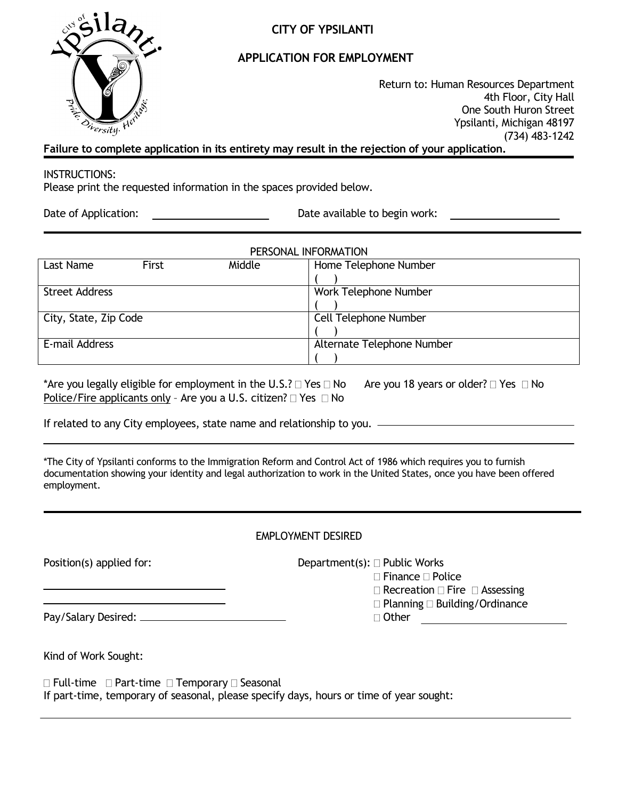

# **CITY OF YPSILANTI**

# **APPLICATION FOR EMPLOYMENT**

Return to: Human Resources Department 4th Floor, City Hall One South Huron Street Ypsilanti, Michigan 48197 (734) 483-1242

**Failure to complete application in its entirety may result in the rejection of your application.**

### INSTRUCTIONS:

Please print the requested information in the spaces provided below.

Date of Application: <u>Date available to begin work:</u>

| PERSONAL INFORMATION  |       |        |                            |  |
|-----------------------|-------|--------|----------------------------|--|
| Last Name             | First | Middle | Home Telephone Number      |  |
|                       |       |        |                            |  |
| <b>Street Address</b> |       |        | Work Telephone Number      |  |
|                       |       |        |                            |  |
| City, State, Zip Code |       |        | Cell Telephone Number      |  |
|                       |       |        |                            |  |
| E-mail Address        |       |        | Alternate Telephone Number |  |
|                       |       |        |                            |  |

\*Are you legally eligible for employment in the U.S.?  $\Box$  Yes  $\Box$  No Are you 18 years or older?  $\Box$  Yes  $\Box$  No Police/Fire applicants only - Are you a U.S. citizen?  $\Box$  Yes  $\Box$  No

If related to any City employees, state name and relationship to you.

\*The City of Ypsilanti conforms to the Immigration Reform and Control Act of 1986 which requires you to furnish documentation showing your identity and legal authorization to work in the United States, once you have been offered employment.

| EMPLOYMENT DESIRED |  |
|--------------------|--|
|                    |  |

| Position(s) applied for: | Department(s): $\Box$ Public Works<br>$\Box$ Finance $\Box$ Police<br>$\Box$ Recreation $\Box$ Fire $\Box$ Assessing |
|--------------------------|----------------------------------------------------------------------------------------------------------------------|
|                          | $\Box$ Planning $\Box$ Building/Ordinance<br>□ Other                                                                 |
| Kind of Work Sought:     |                                                                                                                      |

 $\Box$  Full-time  $\Box$  Part-time  $\Box$  Temporary  $\Box$  Seasonal If part-time, temporary of seasonal, please specify days, hours or time of year sought: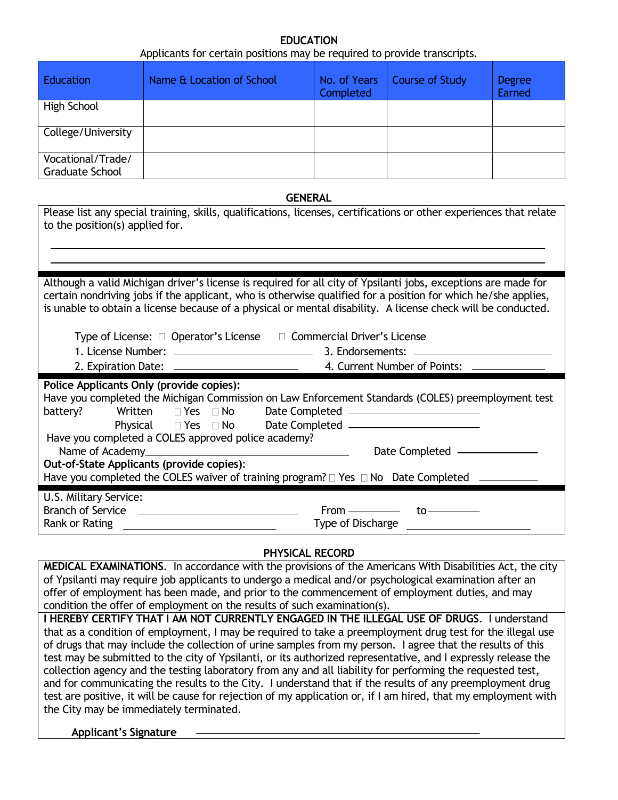#### **EDUCATION** Applicants for certain positions may be required to provide transcripts.

|                                                                                                                                                                                                                                                                   | Applicants for certain positions may be required to provide transcripts.                                                                                                                                                                                                                                                                        |                           |                              |                         |  |
|-------------------------------------------------------------------------------------------------------------------------------------------------------------------------------------------------------------------------------------------------------------------|-------------------------------------------------------------------------------------------------------------------------------------------------------------------------------------------------------------------------------------------------------------------------------------------------------------------------------------------------|---------------------------|------------------------------|-------------------------|--|
| <b>Education</b>                                                                                                                                                                                                                                                  | Name & Location of School                                                                                                                                                                                                                                                                                                                       | No. of Years<br>Completed | <b>Course of Study</b>       | <b>Degree</b><br>Earned |  |
| High School                                                                                                                                                                                                                                                       |                                                                                                                                                                                                                                                                                                                                                 |                           |                              |                         |  |
| College/University                                                                                                                                                                                                                                                |                                                                                                                                                                                                                                                                                                                                                 |                           |                              |                         |  |
| Vocational/Trade/<br><b>Graduate School</b>                                                                                                                                                                                                                       |                                                                                                                                                                                                                                                                                                                                                 |                           |                              |                         |  |
|                                                                                                                                                                                                                                                                   |                                                                                                                                                                                                                                                                                                                                                 | <b>GENERAL</b>            |                              |                         |  |
| to the position(s) applied for.                                                                                                                                                                                                                                   | Please list any special training, skills, qualifications, licenses, certifications or other experiences that relate                                                                                                                                                                                                                             |                           |                              |                         |  |
|                                                                                                                                                                                                                                                                   |                                                                                                                                                                                                                                                                                                                                                 |                           |                              |                         |  |
|                                                                                                                                                                                                                                                                   | Although a valid Michigan driver's license is required for all city of Ypsilanti jobs, exceptions are made for<br>certain nondriving jobs if the applicant, who is otherwise qualified for a position for which he/she applies,<br>is unable to obtain a license because of a physical or mental disability. A license check will be conducted. |                           |                              |                         |  |
|                                                                                                                                                                                                                                                                   | Type of License: □ Operator's License □ Commercial Driver's License                                                                                                                                                                                                                                                                             |                           |                              |                         |  |
|                                                                                                                                                                                                                                                                   |                                                                                                                                                                                                                                                                                                                                                 | 3. Endorsements: ______   | 4. Current Number of Points: |                         |  |
|                                                                                                                                                                                                                                                                   | Police Applicants Only (provide copies):                                                                                                                                                                                                                                                                                                        |                           |                              |                         |  |
| Have you completed the Michigan Commission on Law Enforcement Standards (COLES) preemployment test<br>Date Completed —————————————<br>battery?<br>Written<br>$\Box$ Yes $\Box$ No<br>Date Completed ______________________<br>Physical $\square$ Yes $\square$ No |                                                                                                                                                                                                                                                                                                                                                 |                           |                              |                         |  |
| Have you completed a COLES approved police academy?<br>Date Completed __________                                                                                                                                                                                  |                                                                                                                                                                                                                                                                                                                                                 |                           |                              |                         |  |
| Out-of-State Applicants (provide copies):<br>Have you completed the COLES waiver of training program? □ Yes □ No Date Completed –                                                                                                                                 |                                                                                                                                                                                                                                                                                                                                                 |                           |                              |                         |  |
|                                                                                                                                                                                                                                                                   |                                                                                                                                                                                                                                                                                                                                                 |                           |                              |                         |  |
| U.S. Military Service:<br><b>Branch of Service</b>                                                                                                                                                                                                                |                                                                                                                                                                                                                                                                                                                                                 | $From \_\_\_\_\_\$        |                              |                         |  |
| Rank or Rating                                                                                                                                                                                                                                                    |                                                                                                                                                                                                                                                                                                                                                 | <b>Type of Discharge</b>  | to-                          |                         |  |

## **PHYSICAL RECORD**

**MEDICAL EXAMINATIONS**. In accordance with the provisions of the Americans With Disabilities Act, the city of Ypsilanti may require job applicants to undergo a medical and/or psychological examination after an offer of employment has been made, and prior to the commencement of employment duties, and may condition the offer of employment on the results of such examination(s).

**I HEREBY CERTIFY THAT I AM NOT CURRENTLY ENGAGED IN THE ILLEGAL USE OF DRUGS**. I understand that as a condition of employment, I may be required to take a preemployment drug test for the illegal use of drugs that may include the collection of urine samples from my person. I agree that the results of this test may be submitted to the city of Ypsilanti, or its authorized representative, and I expressly release the collection agency and the testing laboratory from any and all liability for performing the requested test, and for communicating the results to the City. I understand that if the results of any preemployment drug test are positive, it will be cause for rejection of my application or, if I am hired, that my employment with the City may be immediately terminated.

**Applicant's Signature**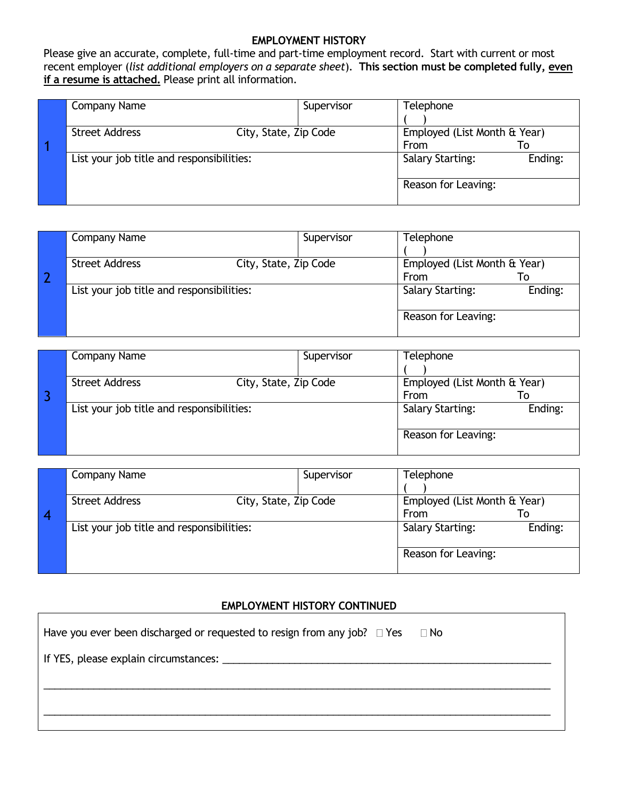#### **EMPLOYMENT HISTORY**

Please give an accurate, complete, full-time and part-time employment record. Start with current or most recent employer (*list additional employers on a separate sheet*). **This section must be completed fully, even if a resume is attached.** Please print all information.

| Company Name                                   | Supervisor | Telephone                    |         |
|------------------------------------------------|------------|------------------------------|---------|
|                                                |            |                              |         |
| <b>Street Address</b><br>City, State, Zip Code |            | Employed (List Month & Year) |         |
|                                                |            | From                         | To      |
| List your job title and responsibilities:      |            | <b>Salary Starting:</b>      | Ending: |
|                                                |            |                              |         |
|                                                |            | Reason for Leaving:          |         |
|                                                |            |                              |         |

| Company Name                                   | Supervisor | Telephone                    |         |
|------------------------------------------------|------------|------------------------------|---------|
|                                                |            |                              |         |
| <b>Street Address</b><br>City, State, Zip Code |            | Employed (List Month & Year) |         |
|                                                |            | From                         | ١o      |
| List your job title and responsibilities:      |            | <b>Salary Starting:</b>      | Ending: |
|                                                |            |                              |         |
|                                                |            | Reason for Leaving:          |         |
|                                                |            |                              |         |

| Company Name                                   | Supervisor | Telephone                    |         |
|------------------------------------------------|------------|------------------------------|---------|
|                                                |            |                              |         |
| <b>Street Address</b><br>City, State, Zip Code |            | Employed (List Month & Year) |         |
|                                                |            | From                         | To      |
| List your job title and responsibilities:      |            | <b>Salary Starting:</b>      | Ending: |
|                                                |            |                              |         |
|                                                |            | Reason for Leaving:          |         |
|                                                |            |                              |         |

| Company Name                                   | Supervisor | Telephone                                         |         |
|------------------------------------------------|------------|---------------------------------------------------|---------|
| <b>Street Address</b><br>City, State, Zip Code |            | Employed (List Month & Year)<br><b>From</b><br>To |         |
| List your job title and responsibilities:      |            | <b>Salary Starting:</b>                           | Ending: |
|                                                |            | Reason for Leaving:                               |         |

## **EMPLOYMENT HISTORY CONTINUED**

| Have you ever been discharged or requested to resign from any job? $\Box$ Yes $\Box$ No |
|-----------------------------------------------------------------------------------------|
|                                                                                         |
|                                                                                         |
|                                                                                         |
|                                                                                         |